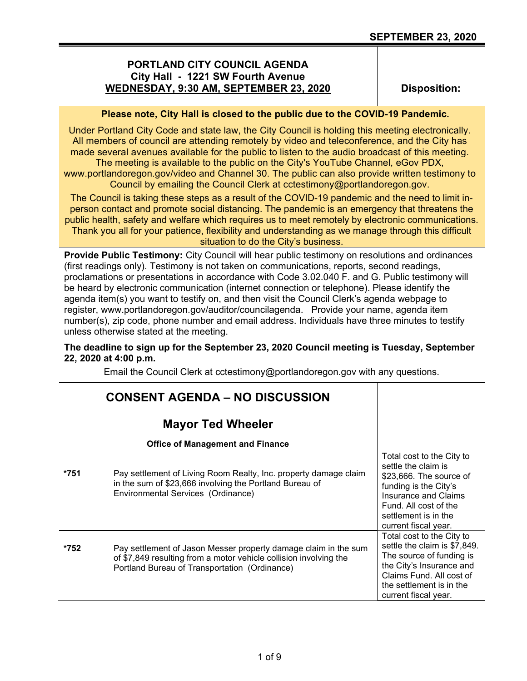# PORTLAND CITY COUNCIL AGENDA City Hall - 1221 SW Fourth Avenue WEDNESDAY, 9:30 AM, SEPTEMBER 23, 2020

Disposition:

## Please note, City Hall is closed to the public due to the COVID-19 Pandemic.

Under Portland City Code and state law, the City Council is holding this meeting electronically. All members of council are attending remotely by video and teleconference, and the City has made several avenues available for the public to listen to the audio broadcast of this meeting. The meeting is available to the public on the City's YouTube Channel, eGov PDX,

www.portlandoregon.gov/video and Channel 30. The public can also provide written testimony to Council by emailing the Council Clerk at cctestimony@portlandoregon.gov.

The Council is taking these steps as a result of the COVID-19 pandemic and the need to limit inperson contact and promote social distancing. The pandemic is an emergency that threatens the public health, safety and welfare which requires us to meet remotely by electronic communications. Thank you all for your patience, flexibility and understanding as we manage through this difficult situation to do the City's business.

Provide Public Testimony: City Council will hear public testimony on resolutions and ordinances (first readings only). Testimony is not taken on communications, reports, second readings, proclamations or presentations in accordance with Code 3.02.040 F. and G. Public testimony will be heard by electronic communication (internet connection or telephone). Please identify the agenda item(s) you want to testify on, and then visit the Council Clerk's agenda webpage to register, www.portlandoregon.gov/auditor/councilagenda. Provide your name, agenda item number(s), zip code, phone number and email address. Individuals have three minutes to testify unless otherwise stated at the meeting.

## The deadline to sign up for the September 23, 2020 Council meeting is Tuesday, September 22, 2020 at 4:00 p.m.

Email the Council Clerk at cctestimony@portlandoregon.gov with any questions.

|      | <b>CONSENT AGENDA – NO DISCUSSION</b>                                                                                                                                                 |                                                                                                                                                                                                              |
|------|---------------------------------------------------------------------------------------------------------------------------------------------------------------------------------------|--------------------------------------------------------------------------------------------------------------------------------------------------------------------------------------------------------------|
|      | <b>Mayor Ted Wheeler</b>                                                                                                                                                              |                                                                                                                                                                                                              |
|      | <b>Office of Management and Finance</b>                                                                                                                                               |                                                                                                                                                                                                              |
| *751 | Pay settlement of Living Room Realty, Inc. property damage claim<br>in the sum of \$23,666 involving the Portland Bureau of<br>Environmental Services (Ordinance)                     | Total cost to the City to<br>settle the claim is<br>\$23,666. The source of<br>funding is the City's<br><b>Insurance and Claims</b><br>Fund. All cost of the<br>settlement is in the<br>current fiscal year. |
| *752 | Pay settlement of Jason Messer property damage claim in the sum<br>of \$7,849 resulting from a motor vehicle collision involving the<br>Portland Bureau of Transportation (Ordinance) | Total cost to the City to<br>settle the claim is \$7,849.<br>The source of funding is<br>the City's Insurance and<br>Claims Fund. All cost of<br>the settlement is in the<br>current fiscal year.            |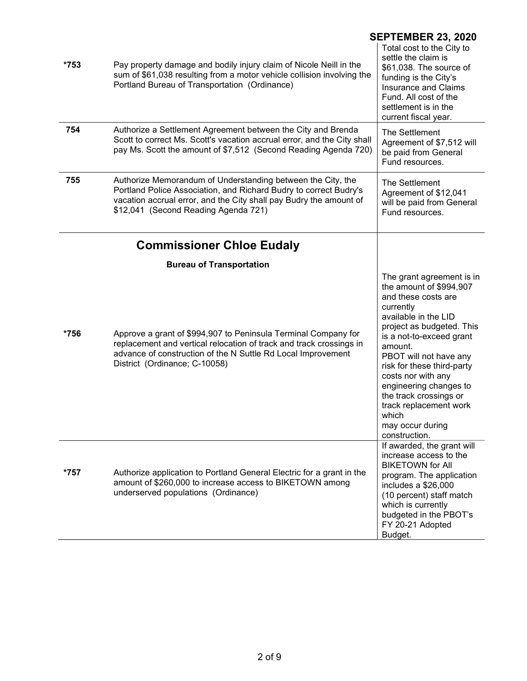|      | <b>SEPTEMBER 23, 2020</b>                                                                                                                                                                                                                      |                                                                                                                                                                                                                                                                                                                                                                                                |  |
|------|------------------------------------------------------------------------------------------------------------------------------------------------------------------------------------------------------------------------------------------------|------------------------------------------------------------------------------------------------------------------------------------------------------------------------------------------------------------------------------------------------------------------------------------------------------------------------------------------------------------------------------------------------|--|
| *753 | Pay property damage and bodily injury claim of Nicole Neill in the<br>sum of \$61,038 resulting from a motor vehicle collision involving the<br>Portland Bureau of Transportation (Ordinance)                                                  | Total cost to the City to<br>settle the claim is<br>\$61,038. The source of<br>funding is the City's<br><b>Insurance and Claims</b><br>Fund. All cost of the<br>settlement is in the<br>current fiscal year.                                                                                                                                                                                   |  |
| 754  | Authorize a Settlement Agreement between the City and Brenda<br>Scott to correct Ms. Scott's vacation accrual error, and the City shall<br>pay Ms. Scott the amount of \$7,512 (Second Reading Agenda 720)                                     | The Settlement<br>Agreement of \$7,512 will<br>be paid from General<br>Fund resources.                                                                                                                                                                                                                                                                                                         |  |
| 755  | Authorize Memorandum of Understanding between the City, the<br>Portland Police Association, and Richard Budry to correct Budry's<br>vacation accrual error, and the City shall pay Budry the amount of<br>\$12,041 (Second Reading Agenda 721) | The Settlement<br>Agreement of \$12,041<br>will be paid from General<br>Fund resources.                                                                                                                                                                                                                                                                                                        |  |
|      | <b>Commissioner Chloe Eudaly</b>                                                                                                                                                                                                               |                                                                                                                                                                                                                                                                                                                                                                                                |  |
|      | <b>Bureau of Transportation</b>                                                                                                                                                                                                                |                                                                                                                                                                                                                                                                                                                                                                                                |  |
| *756 | Approve a grant of \$994,907 to Peninsula Terminal Company for<br>replacement and vertical relocation of track and track crossings in<br>advance of construction of the N Suttle Rd Local Improvement<br>District (Ordinance; C-10058)         | The grant agreement is in<br>the amount of \$994,907<br>and these costs are<br>currently<br>available in the LID<br>project as budgeted. This<br>is a not-to-exceed grant<br>amount.<br>PBOT will not have any<br>risk for these third-party<br>costs nor with any<br>engineering changes to<br>the track crossings or<br>track replacement work<br>which<br>may occur during<br>construction. |  |
| *757 | Authorize application to Portland General Electric for a grant in the<br>amount of \$260,000 to increase access to BIKETOWN among<br>underserved populations (Ordinance)                                                                       | If awarded, the grant will<br>increase access to the<br><b>BIKETOWN for All</b><br>program. The application<br>includes a \$26,000<br>(10 percent) staff match<br>which is currently<br>budgeted in the PBOT's<br>FY 20-21 Adopted<br>Budget.                                                                                                                                                  |  |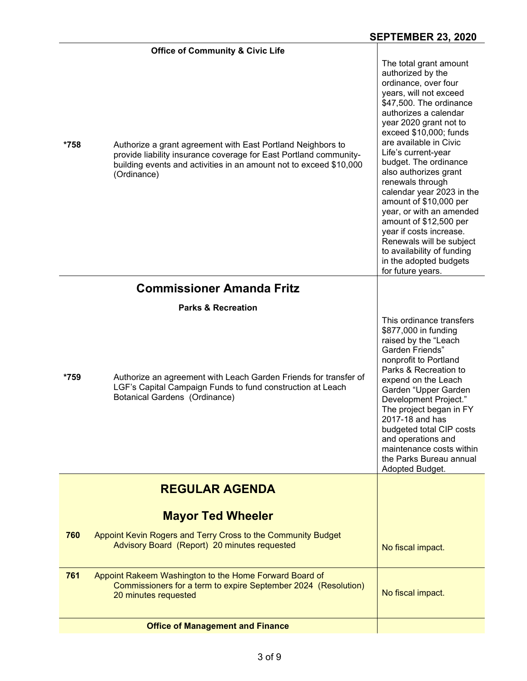|      | <b>Office of Community &amp; Civic Life</b>                                                                                                                                                                           |                                                                                                                                                                                                                                                                                                                                                                                                                                                                                                                                                                               |
|------|-----------------------------------------------------------------------------------------------------------------------------------------------------------------------------------------------------------------------|-------------------------------------------------------------------------------------------------------------------------------------------------------------------------------------------------------------------------------------------------------------------------------------------------------------------------------------------------------------------------------------------------------------------------------------------------------------------------------------------------------------------------------------------------------------------------------|
| *758 | Authorize a grant agreement with East Portland Neighbors to<br>provide liability insurance coverage for East Portland community-<br>building events and activities in an amount not to exceed \$10,000<br>(Ordinance) | The total grant amount<br>authorized by the<br>ordinance, over four<br>years, will not exceed<br>\$47,500. The ordinance<br>authorizes a calendar<br>year 2020 grant not to<br>exceed \$10,000; funds<br>are available in Civic<br>Life's current-year<br>budget. The ordinance<br>also authorizes grant<br>renewals through<br>calendar year 2023 in the<br>amount of \$10,000 per<br>year, or with an amended<br>amount of \$12,500 per<br>year if costs increase.<br>Renewals will be subject<br>to availability of funding<br>in the adopted budgets<br>for future years. |
|      | <b>Commissioner Amanda Fritz</b>                                                                                                                                                                                      |                                                                                                                                                                                                                                                                                                                                                                                                                                                                                                                                                                               |
|      | <b>Parks &amp; Recreation</b>                                                                                                                                                                                         |                                                                                                                                                                                                                                                                                                                                                                                                                                                                                                                                                                               |
| *759 | Authorize an agreement with Leach Garden Friends for transfer of<br>LGF's Capital Campaign Funds to fund construction at Leach<br><b>Botanical Gardens (Ordinance)</b>                                                | This ordinance transfers<br>\$877,000 in funding<br>raised by the "Leach<br>Garden Friends"<br>nonprofit to Portland<br>Parks & Recreation to<br>expend on the Leach<br>Garden "Upper Garden<br>Development Project."<br>The project began in FY<br>2017-18 and has<br>budgeted total CIP costs<br>and operations and<br>maintenance costs within<br>the Parks Bureau annual<br>Adopted Budget.                                                                                                                                                                               |
|      | <b>REGULAR AGENDA</b>                                                                                                                                                                                                 |                                                                                                                                                                                                                                                                                                                                                                                                                                                                                                                                                                               |
|      |                                                                                                                                                                                                                       |                                                                                                                                                                                                                                                                                                                                                                                                                                                                                                                                                                               |
|      | <b>Mayor Ted Wheeler</b>                                                                                                                                                                                              |                                                                                                                                                                                                                                                                                                                                                                                                                                                                                                                                                                               |
| 760  | Appoint Kevin Rogers and Terry Cross to the Community Budget<br>Advisory Board (Report) 20 minutes requested                                                                                                          | No fiscal impact.                                                                                                                                                                                                                                                                                                                                                                                                                                                                                                                                                             |
| 761  | Appoint Rakeem Washington to the Home Forward Board of<br>Commissioners for a term to expire September 2024 (Resolution)<br>20 minutes requested                                                                      | No fiscal impact.                                                                                                                                                                                                                                                                                                                                                                                                                                                                                                                                                             |
|      | <b>Office of Management and Finance</b>                                                                                                                                                                               |                                                                                                                                                                                                                                                                                                                                                                                                                                                                                                                                                                               |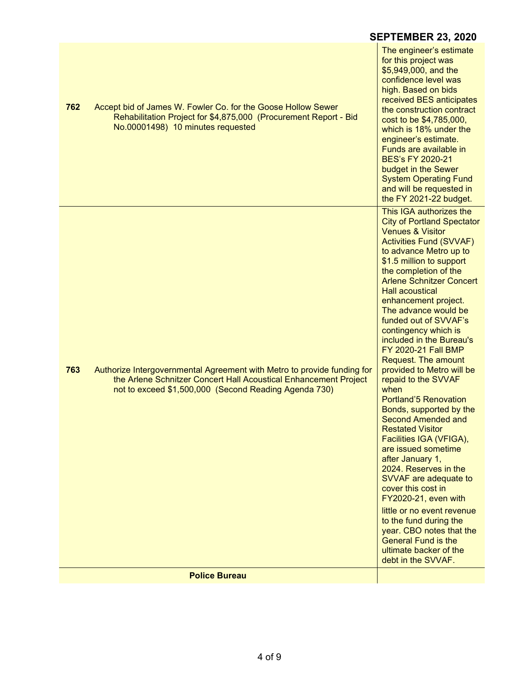|     |                                                                                                                                                                                                      | <b>SEPTEMBER 23, 2020</b>                                                                                                                                                                                                                                                                                                                                                                                                                                                                                                                                                                                                                                                                                                                                                                                                                                                                                                                                     |
|-----|------------------------------------------------------------------------------------------------------------------------------------------------------------------------------------------------------|---------------------------------------------------------------------------------------------------------------------------------------------------------------------------------------------------------------------------------------------------------------------------------------------------------------------------------------------------------------------------------------------------------------------------------------------------------------------------------------------------------------------------------------------------------------------------------------------------------------------------------------------------------------------------------------------------------------------------------------------------------------------------------------------------------------------------------------------------------------------------------------------------------------------------------------------------------------|
| 762 | Accept bid of James W. Fowler Co. for the Goose Hollow Sewer<br>Rehabilitation Project for \$4,875,000 (Procurement Report - Bid<br>No.00001498) 10 minutes requested                                | The engineer's estimate<br>for this project was<br>\$5,949,000, and the<br>confidence level was<br>high. Based on bids<br>received BES anticipates<br>the construction contract<br>cost to be \$4,785,000,<br>which is 18% under the<br>engineer's estimate.<br>Funds are available in<br><b>BES's FY 2020-21</b><br>budget in the Sewer<br><b>System Operating Fund</b><br>and will be requested in<br>the FY 2021-22 budget.                                                                                                                                                                                                                                                                                                                                                                                                                                                                                                                                |
| 763 | Authorize Intergovernmental Agreement with Metro to provide funding for<br>the Arlene Schnitzer Concert Hall Acoustical Enhancement Project<br>not to exceed \$1,500,000 (Second Reading Agenda 730) | This IGA authorizes the<br><b>City of Portland Spectator</b><br><b>Venues &amp; Visitor</b><br><b>Activities Fund (SVVAF)</b><br>to advance Metro up to<br>\$1.5 million to support<br>the completion of the<br><b>Arlene Schnitzer Concert</b><br><b>Hall acoustical</b><br>enhancement project.<br>The advance would be<br>funded out of SVVAF's<br>contingency which is<br>included in the Bureau's<br>FY 2020-21 Fall BMP<br>Request. The amount<br>provided to Metro will be<br>repaid to the SVVAF<br>when<br>Portland'5 Renovation<br>Bonds, supported by the<br>Second Amended and<br><b>Restated Visitor</b><br>Facilities IGA (VFIGA),<br>are issued sometime<br>after January 1,<br>2024. Reserves in the<br>SVVAF are adequate to<br>cover this cost in<br>FY2020-21, even with<br>little or no event revenue<br>to the fund during the<br>year. CBO notes that the<br><b>General Fund is the</b><br>ultimate backer of the<br>debt in the SVVAF. |
|     | <b>Police Bureau</b>                                                                                                                                                                                 |                                                                                                                                                                                                                                                                                                                                                                                                                                                                                                                                                                                                                                                                                                                                                                                                                                                                                                                                                               |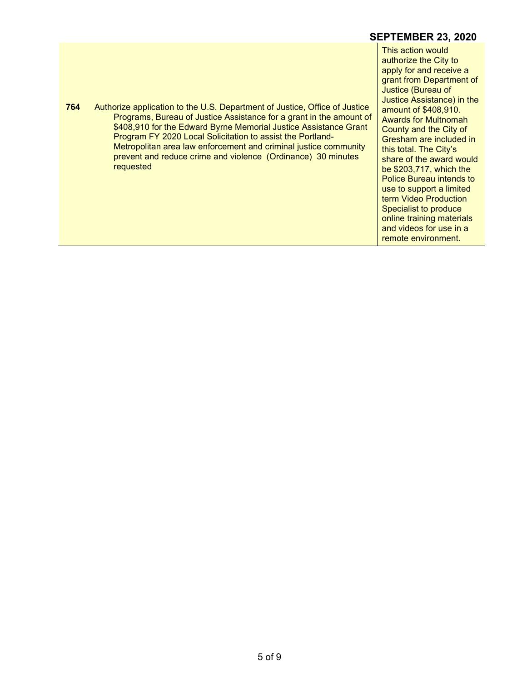## SEPTEMBER 23, 2020

This action would authorize the City to apply for and receive a grant from Department of Justice (Bureau of Justice Assistance) in the amount of \$408,910. Awards for Multnomah County and the City of Gresham are included in this total. The City's share of the award would be \$203,717, which the Police Bureau intends to use to support a limited term Video Production Specialist to produce online training materials and videos for use in a remote environment.

 764 Authorize application to the U.S. Department of Justice, Office of Justice Programs, Bureau of Justice Assistance for a grant in the amount of \$408,910 for the Edward Byrne Memorial Justice Assistance Grant Program FY 2020 Local Solicitation to assist the Portland-Metropolitan area law enforcement and criminal justice community prevent and reduce crime and violence (Ordinance) 30 minutes requested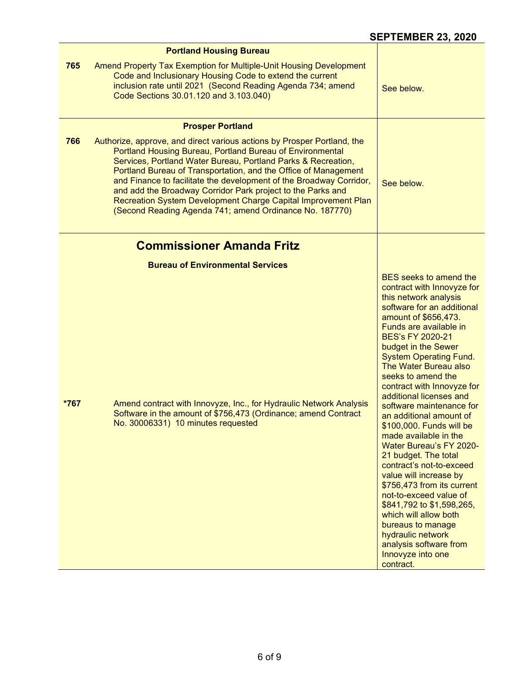|      | <b>Portland Housing Bureau</b>                                                                                                                                                                                                                                                                                                                                                                                                                                  |                                                                                                                                                                                                                                                                                                                                                                                                                                                                                                                                                                                                                                                                                                                                                                                                                 |
|------|-----------------------------------------------------------------------------------------------------------------------------------------------------------------------------------------------------------------------------------------------------------------------------------------------------------------------------------------------------------------------------------------------------------------------------------------------------------------|-----------------------------------------------------------------------------------------------------------------------------------------------------------------------------------------------------------------------------------------------------------------------------------------------------------------------------------------------------------------------------------------------------------------------------------------------------------------------------------------------------------------------------------------------------------------------------------------------------------------------------------------------------------------------------------------------------------------------------------------------------------------------------------------------------------------|
| 765  | Amend Property Tax Exemption for Multiple-Unit Housing Development<br>Code and Inclusionary Housing Code to extend the current<br>inclusion rate until 2021 (Second Reading Agenda 734; amend<br>Code Sections 30.01.120 and 3.103.040)                                                                                                                                                                                                                         | See below.                                                                                                                                                                                                                                                                                                                                                                                                                                                                                                                                                                                                                                                                                                                                                                                                      |
| 766  | <b>Prosper Portland</b><br>Authorize, approve, and direct various actions by Prosper Portland, the                                                                                                                                                                                                                                                                                                                                                              |                                                                                                                                                                                                                                                                                                                                                                                                                                                                                                                                                                                                                                                                                                                                                                                                                 |
|      | Portland Housing Bureau, Portland Bureau of Environmental<br>Services, Portland Water Bureau, Portland Parks & Recreation,<br>Portland Bureau of Transportation, and the Office of Management<br>and Finance to facilitate the development of the Broadway Corridor,<br>and add the Broadway Corridor Park project to the Parks and<br>Recreation System Development Charge Capital Improvement Plan<br>(Second Reading Agenda 741; amend Ordinance No. 187770) | See below.                                                                                                                                                                                                                                                                                                                                                                                                                                                                                                                                                                                                                                                                                                                                                                                                      |
|      | <b>Commissioner Amanda Fritz</b>                                                                                                                                                                                                                                                                                                                                                                                                                                |                                                                                                                                                                                                                                                                                                                                                                                                                                                                                                                                                                                                                                                                                                                                                                                                                 |
|      | <b>Bureau of Environmental Services</b>                                                                                                                                                                                                                                                                                                                                                                                                                         |                                                                                                                                                                                                                                                                                                                                                                                                                                                                                                                                                                                                                                                                                                                                                                                                                 |
| *767 | Amend contract with Innovyze, Inc., for Hydraulic Network Analysis<br>Software in the amount of \$756,473 (Ordinance; amend Contract<br>No. 30006331) 10 minutes requested                                                                                                                                                                                                                                                                                      | <b>BES</b> seeks to amend the<br>contract with Innovyze for<br>this network analysis<br>software for an additional<br>amount of \$656,473.<br>Funds are available in<br><b>BES's FY 2020-21</b><br>budget in the Sewer<br><b>System Operating Fund.</b><br>The Water Bureau also<br>seeks to amend the<br>contract with Innovyze for<br>additional licenses and<br>software maintenance for<br>an additional amount of<br>\$100,000. Funds will be<br>made available in the<br><b>Water Bureau's FY 2020-</b><br>21 budget. The total<br>contract's not-to-exceed<br>value will increase by<br>\$756,473 from its current<br>not-to-exceed value of<br>\$841,792 to \$1,598,265,<br>which will allow both<br>bureaus to manage<br>hydraulic network<br>analysis software from<br>Innovyze into one<br>contract. |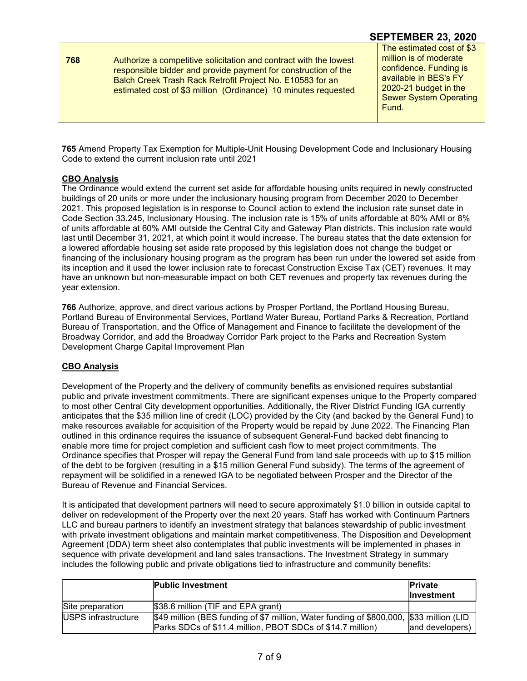**768** Authorize a competitive solicitation and contract with the lowest responsible bidder and provide payment for construction of the Balch Creek Trash Rack Retrofit Project No. E10583 for an estimated cost of \$3 million (Ordinance) 10 minutes requested

## SEPTEMBER 23, 2020

The estimated cost of \$3 million is of moderate confidence. Funding is available in BES's FY 2020-21 budget in the Sewer System Operating Fund.

765 Amend Property Tax Exemption for Multiple-Unit Housing Development Code and Inclusionary Housing Code to extend the current inclusion rate until 2021

#### CBO Analysis

The Ordinance would extend the current set aside for affordable housing units required in newly constructed buildings of 20 units or more under the inclusionary housing program from December 2020 to December 2021. This proposed legislation is in response to Council action to extend the inclusion rate sunset date in Code Section 33.245, Inclusionary Housing. The inclusion rate is 15% of units affordable at 80% AMI or 8% of units affordable at 60% AMI outside the Central City and Gateway Plan districts. This inclusion rate would last until December 31, 2021, at which point it would increase. The bureau states that the date extension for a lowered affordable housing set aside rate proposed by this legislation does not change the budget or financing of the inclusionary housing program as the program has been run under the lowered set aside from its inception and it used the lower inclusion rate to forecast Construction Excise Tax (CET) revenues. It may have an unknown but non-measurable impact on both CET revenues and property tax revenues during the year extension.

766 Authorize, approve, and direct various actions by Prosper Portland, the Portland Housing Bureau, Portland Bureau of Environmental Services, Portland Water Bureau, Portland Parks & Recreation, Portland Bureau of Transportation, and the Office of Management and Finance to facilitate the development of the Broadway Corridor, and add the Broadway Corridor Park project to the Parks and Recreation System Development Charge Capital Improvement Plan

#### CBO Analysis

Development of the Property and the delivery of community benefits as envisioned requires substantial public and private investment commitments. There are significant expenses unique to the Property compared to most other Central City development opportunities. Additionally, the River District Funding IGA currently anticipates that the \$35 million line of credit (LOC) provided by the City (and backed by the General Fund) to make resources available for acquisition of the Property would be repaid by June 2022. The Financing Plan outlined in this ordinance requires the issuance of subsequent General-Fund backed debt financing to enable more time for project completion and sufficient cash flow to meet project commitments. The Ordinance specifies that Prosper will repay the General Fund from land sale proceeds with up to \$15 million of the debt to be forgiven (resulting in a \$15 million General Fund subsidy). The terms of the agreement of repayment will be solidified in a renewed IGA to be negotiated between Prosper and the Director of the Bureau of Revenue and Financial Services.

It is anticipated that development partners will need to secure approximately \$1.0 billion in outside capital to deliver on redevelopment of the Property over the next 20 years. Staff has worked with Continuum Partners LLC and bureau partners to identify an investment strategy that balances stewardship of public investment with private investment obligations and maintain market competitiveness. The Disposition and Development Agreement (DDA) term sheet also contemplates that public investments will be implemented in phases in sequence with private development and land sales transactions. The Investment Strategy in summary includes the following public and private obligations tied to infrastructure and community benefits:

|                     | <b>Public Investment</b>                                                                                                                              | <b>Private</b><br><b>Investment</b> |
|---------------------|-------------------------------------------------------------------------------------------------------------------------------------------------------|-------------------------------------|
| Site preparation    | \$38.6 million (TIF and EPA grant)                                                                                                                    |                                     |
| USPS infrastructure | \$49 million (BES funding of \$7 million, Water funding of \$800,000, \$33 million (LID<br>Parks SDCs of \$11.4 million, PBOT SDCs of \$14.7 million) | land developers)                    |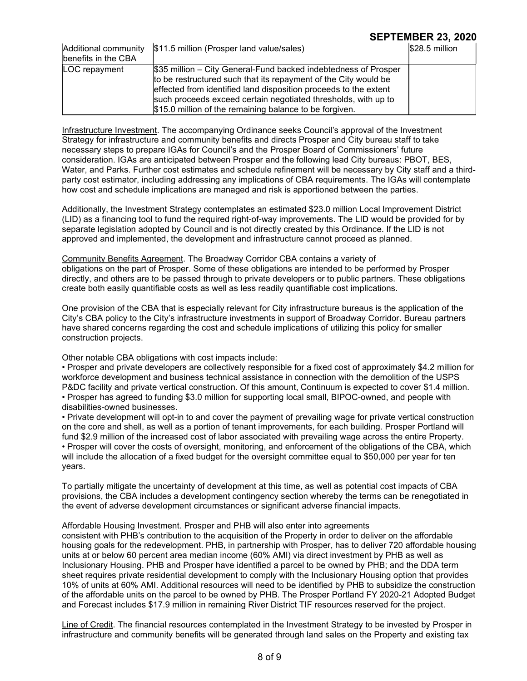# SEPTEMBER 23, 2020

| Additional community<br>benefits in the CBA | \$11.5 million (Prosper land value/sales)                                                                                                                                                                                                                                                                                           | $$28.5$ million |
|---------------------------------------------|-------------------------------------------------------------------------------------------------------------------------------------------------------------------------------------------------------------------------------------------------------------------------------------------------------------------------------------|-----------------|
| LOC repayment                               | \$35 million – City General-Fund backed indebtedness of Prosper<br>to be restructured such that its repayment of the City would be<br>effected from identified land disposition proceeds to the extent<br>such proceeds exceed certain negotiated thresholds, with up to<br>\$15.0 million of the remaining balance to be forgiven. |                 |

Infrastructure Investment. The accompanying Ordinance seeks Council's approval of the Investment Strategy for infrastructure and community benefits and directs Prosper and City bureau staff to take necessary steps to prepare IGAs for Council's and the Prosper Board of Commissioners' future consideration. IGAs are anticipated between Prosper and the following lead City bureaus: PBOT, BES, Water, and Parks. Further cost estimates and schedule refinement will be necessary by City staff and a thirdparty cost estimator, including addressing any implications of CBA requirements. The IGAs will contemplate how cost and schedule implications are managed and risk is apportioned between the parties.

Additionally, the Investment Strategy contemplates an estimated \$23.0 million Local Improvement District (LID) as a financing tool to fund the required right-of-way improvements. The LID would be provided for by separate legislation adopted by Council and is not directly created by this Ordinance. If the LID is not approved and implemented, the development and infrastructure cannot proceed as planned.

Community Benefits Agreement. The Broadway Corridor CBA contains a variety of obligations on the part of Prosper. Some of these obligations are intended to be performed by Prosper directly, and others are to be passed through to private developers or to public partners. These obligations create both easily quantifiable costs as well as less readily quantifiable cost implications.

One provision of the CBA that is especially relevant for City infrastructure bureaus is the application of the City's CBA policy to the City's infrastructure investments in support of Broadway Corridor. Bureau partners have shared concerns regarding the cost and schedule implications of utilizing this policy for smaller construction projects.

Other notable CBA obligations with cost impacts include:

• Prosper and private developers are collectively responsible for a fixed cost of approximately \$4.2 million for workforce development and business technical assistance in connection with the demolition of the USPS P&DC facility and private vertical construction. Of this amount, Continuum is expected to cover \$1.4 million. • Prosper has agreed to funding \$3.0 million for supporting local small, BIPOC-owned, and people with disabilities-owned businesses.

• Private development will opt-in to and cover the payment of prevailing wage for private vertical construction on the core and shell, as well as a portion of tenant improvements, for each building. Prosper Portland will fund \$2.9 million of the increased cost of labor associated with prevailing wage across the entire Property. • Prosper will cover the costs of oversight, monitoring, and enforcement of the obligations of the CBA, which will include the allocation of a fixed budget for the oversight committee equal to \$50,000 per year for ten years.

To partially mitigate the uncertainty of development at this time, as well as potential cost impacts of CBA provisions, the CBA includes a development contingency section whereby the terms can be renegotiated in the event of adverse development circumstances or significant adverse financial impacts.

#### Affordable Housing Investment. Prosper and PHB will also enter into agreements

consistent with PHB's contribution to the acquisition of the Property in order to deliver on the affordable housing goals for the redevelopment. PHB, in partnership with Prosper, has to deliver 720 affordable housing units at or below 60 percent area median income (60% AMI) via direct investment by PHB as well as Inclusionary Housing. PHB and Prosper have identified a parcel to be owned by PHB; and the DDA term sheet requires private residential development to comply with the Inclusionary Housing option that provides 10% of units at 60% AMI. Additional resources will need to be identified by PHB to subsidize the construction of the affordable units on the parcel to be owned by PHB. The Prosper Portland FY 2020-21 Adopted Budget and Forecast includes \$17.9 million in remaining River District TIF resources reserved for the project.

Line of Credit. The financial resources contemplated in the Investment Strategy to be invested by Prosper in infrastructure and community benefits will be generated through land sales on the Property and existing tax